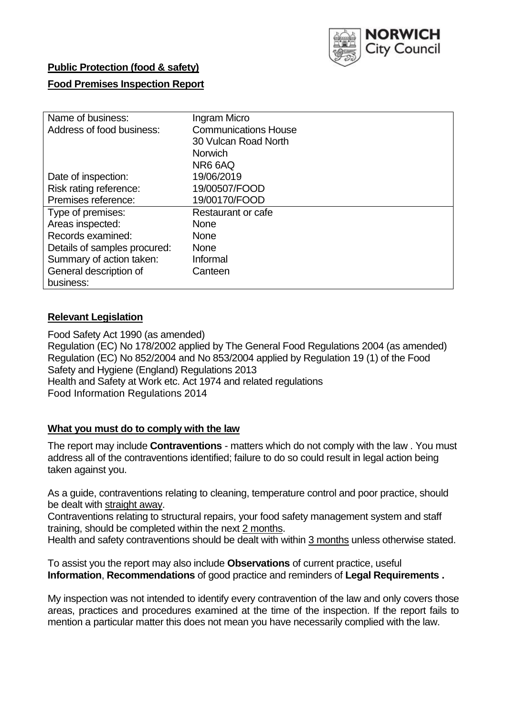

# **Public Protection (food & safety)**

## **Food Premises Inspection Report**

| Name of business:            | Ingram Micro                |  |  |  |  |  |
|------------------------------|-----------------------------|--|--|--|--|--|
| Address of food business:    | <b>Communications House</b> |  |  |  |  |  |
|                              | 30 Vulcan Road North        |  |  |  |  |  |
|                              | <b>Norwich</b>              |  |  |  |  |  |
|                              | NR6 6AQ                     |  |  |  |  |  |
| Date of inspection:          | 19/06/2019                  |  |  |  |  |  |
| Risk rating reference:       | 19/00507/FOOD               |  |  |  |  |  |
| Premises reference:          | 19/00170/FOOD               |  |  |  |  |  |
| Type of premises:            | Restaurant or cafe          |  |  |  |  |  |
| Areas inspected:             | <b>None</b>                 |  |  |  |  |  |
| Records examined:            | <b>None</b>                 |  |  |  |  |  |
| Details of samples procured: | <b>None</b>                 |  |  |  |  |  |
| Summary of action taken:     | Informal                    |  |  |  |  |  |
| General description of       | Canteen                     |  |  |  |  |  |
| business:                    |                             |  |  |  |  |  |

## **Relevant Legislation**

Food Safety Act 1990 (as amended) Regulation (EC) No 178/2002 applied by The General Food Regulations 2004 (as amended) Regulation (EC) No 852/2004 and No 853/2004 applied by Regulation 19 (1) of the Food Safety and Hygiene (England) Regulations 2013 Health and Safety at Work etc. Act 1974 and related regulations Food Information Regulations 2014

## **What you must do to comply with the law**

The report may include **Contraventions** - matters which do not comply with the law . You must address all of the contraventions identified; failure to do so could result in legal action being taken against you.

As a guide, contraventions relating to cleaning, temperature control and poor practice, should be dealt with straight away.

Contraventions relating to structural repairs, your food safety management system and staff training, should be completed within the next 2 months.

Health and safety contraventions should be dealt with within 3 months unless otherwise stated.

To assist you the report may also include **Observations** of current practice, useful **Information**, **Recommendations** of good practice and reminders of **Legal Requirements .**

My inspection was not intended to identify every contravention of the law and only covers those areas, practices and procedures examined at the time of the inspection. If the report fails to mention a particular matter this does not mean you have necessarily complied with the law.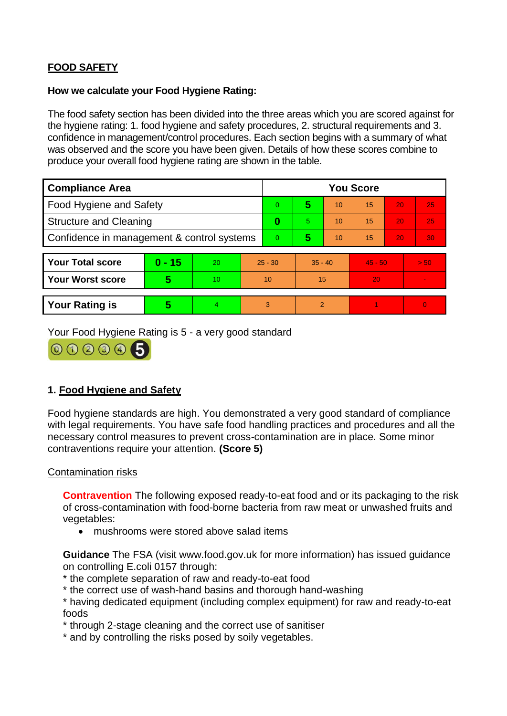# **FOOD SAFETY**

#### **How we calculate your Food Hygiene Rating:**

The food safety section has been divided into the three areas which you are scored against for the hygiene rating: 1. food hygiene and safety procedures, 2. structural requirements and 3. confidence in management/control procedures. Each section begins with a summary of what was observed and the score you have been given. Details of how these scores combine to produce your overall food hygiene rating are shown in the table.

| <b>Compliance Area</b>                     |                         |                  |           | <b>You Score</b> |                |    |           |    |                |  |  |
|--------------------------------------------|-------------------------|------------------|-----------|------------------|----------------|----|-----------|----|----------------|--|--|
| Food Hygiene and Safety                    |                         |                  |           | 0                | 5              | 10 | 15        | 20 | 25             |  |  |
| <b>Structure and Cleaning</b>              |                         |                  | $\bf{0}$  | 5                | 10             | 15 | 20        | 25 |                |  |  |
| Confidence in management & control systems |                         |                  | 0         | 5                | 10             | 15 | 20        | 30 |                |  |  |
|                                            |                         |                  |           |                  |                |    |           |    |                |  |  |
| <b>Your Total score</b>                    | $0 - 15$                | 20               | $25 - 30$ |                  | $35 - 40$      |    | $45 - 50$ |    | > 50           |  |  |
| Your Worst score                           | $\overline{\mathbf{5}}$ | 10 <sup>10</sup> | 10        |                  | 15             |    | 20        |    | $\blacksquare$ |  |  |
|                                            |                         |                  |           |                  |                |    |           |    |                |  |  |
| <b>Your Rating is</b>                      | 5                       | $\overline{4}$   | 3         |                  | $\overline{2}$ |    |           |    | $\overline{0}$ |  |  |

Your Food Hygiene Rating is 5 - a very good standard



# **1. Food Hygiene and Safety**

Food hygiene standards are high. You demonstrated a very good standard of compliance with legal requirements. You have safe food handling practices and procedures and all the necessary control measures to prevent cross-contamination are in place. Some minor contraventions require your attention. **(Score 5)**

## Contamination risks

**Contravention** The following exposed ready-to-eat food and or its packaging to the risk of cross-contamination with food-borne bacteria from raw meat or unwashed fruits and vegetables:

mushrooms were stored above salad items

**Guidance** The FSA (visit www.food.gov.uk for more information) has issued guidance on controlling E.coli 0157 through:

- \* the complete separation of raw and ready-to-eat food
- \* the correct use of wash-hand basins and thorough hand-washing
- \* having dedicated equipment (including complex equipment) for raw and ready-to-eat foods
- \* through 2-stage cleaning and the correct use of sanitiser
- \* and by controlling the risks posed by soily vegetables.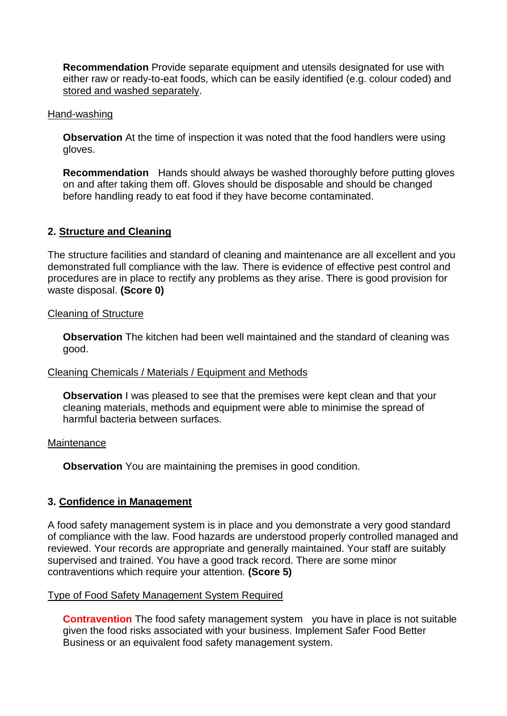**Recommendation** Provide separate equipment and utensils designated for use with either raw or ready-to-eat foods, which can be easily identified (e.g. colour coded) and stored and washed separately.

#### Hand-washing

**Observation** At the time of inspection it was noted that the food handlers were using gloves.

**Recommendation** Hands should always be washed thoroughly before putting gloves on and after taking them off. Gloves should be disposable and should be changed before handling ready to eat food if they have become contaminated.

## **2. Structure and Cleaning**

The structure facilities and standard of cleaning and maintenance are all excellent and you demonstrated full compliance with the law. There is evidence of effective pest control and procedures are in place to rectify any problems as they arise. There is good provision for waste disposal. **(Score 0)**

#### Cleaning of Structure

**Observation** The kitchen had been well maintained and the standard of cleaning was good.

## Cleaning Chemicals / Materials / Equipment and Methods

**Observation** I was pleased to see that the premises were kept clean and that your cleaning materials, methods and equipment were able to minimise the spread of harmful bacteria between surfaces.

#### **Maintenance**

**Observation** You are maintaining the premises in good condition.

## **3. Confidence in Management**

A food safety management system is in place and you demonstrate a very good standard of compliance with the law. Food hazards are understood properly controlled managed and reviewed. Your records are appropriate and generally maintained. Your staff are suitably supervised and trained. You have a good track record. There are some minor contraventions which require your attention. **(Score 5)**

#### Type of Food Safety Management System Required

**Contravention** The food safety management system you have in place is not suitable given the food risks associated with your business. Implement Safer Food Better Business or an equivalent food safety management system.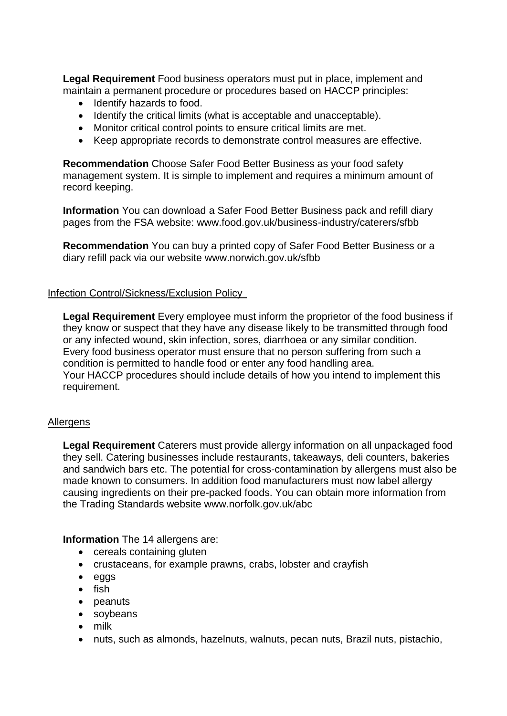**Legal Requirement** Food business operators must put in place, implement and maintain a permanent procedure or procedures based on HACCP principles:

- Identify hazards to food.
- Identify the critical limits (what is acceptable and unacceptable).
- Monitor critical control points to ensure critical limits are met.
- Keep appropriate records to demonstrate control measures are effective.

**Recommendation** Choose Safer Food Better Business as your food safety management system. It is simple to implement and requires a minimum amount of record keeping.

**Information** You can download a Safer Food Better Business pack and refill diary pages from the FSA website: www.food.gov.uk/business-industry/caterers/sfbb

**Recommendation** You can buy a printed copy of Safer Food Better Business or a diary refill pack via our website www.norwich.gov.uk/sfbb

#### Infection Control/Sickness/Exclusion Policy

**Legal Requirement** Every employee must inform the proprietor of the food business if they know or suspect that they have any disease likely to be transmitted through food or any infected wound, skin infection, sores, diarrhoea or any similar condition. Every food business operator must ensure that no person suffering from such a condition is permitted to handle food or enter any food handling area. Your HACCP procedures should include details of how you intend to implement this requirement.

## Allergens

**Legal Requirement** Caterers must provide allergy information on all unpackaged food they sell. Catering businesses include restaurants, takeaways, deli counters, bakeries and sandwich bars etc. The potential for cross-contamination by allergens must also be made known to consumers. In addition food manufacturers must now label allergy causing ingredients on their pre-packed foods. You can obtain more information from the Trading Standards website www.norfolk.gov.uk/abc

**Information** The 14 allergens are:

- cereals containing gluten
- crustaceans, for example prawns, crabs, lobster and crayfish
- eggs
- $\bullet$  fish
- peanuts
- soybeans
- milk
- nuts, such as almonds, hazelnuts, walnuts, pecan nuts, Brazil nuts, pistachio,